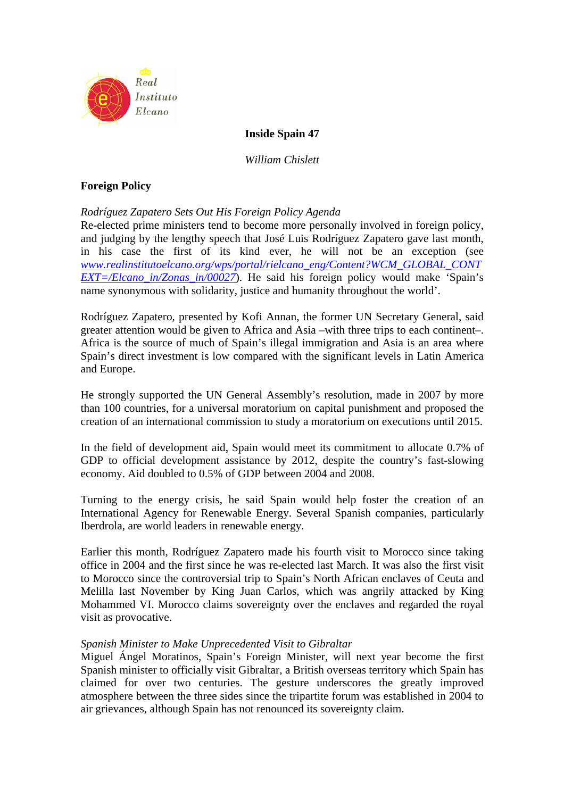

# **Inside Spain 47**

*William Chislett* 

# **Foreign Policy**

# *Rodríguez Zapatero Sets Out His Foreign Policy Agenda*

Re-elected prime ministers tend to become more personally involved in foreign policy, and judging by the lengthy speech that José Luis Rodríguez Zapatero gave last month, in his case the first of its kind ever, he will not be an exception (see *www.realinstitutoelcano.org/wps/portal/rielcano\_eng/Content?WCM\_GLOBAL\_CONT EXT=/Elcano\_in/Zonas\_in/00027*). He said his foreign policy would make 'Spain's name synonymous with solidarity, justice and humanity throughout the world'.

Rodríguez Zapatero, presented by Kofi Annan, the former UN Secretary General, said greater attention would be given to Africa and Asia –with three trips to each continent–. Africa is the source of much of Spain's illegal immigration and Asia is an area where Spain's direct investment is low compared with the significant levels in Latin America and Europe.

He strongly supported the UN General Assembly's resolution, made in 2007 by more than 100 countries, for a universal moratorium on capital punishment and proposed the creation of an international commission to study a moratorium on executions until 2015.

In the field of development aid, Spain would meet its commitment to allocate 0.7% of GDP to official development assistance by 2012, despite the country's fast-slowing economy. Aid doubled to 0.5% of GDP between 2004 and 2008.

Turning to the energy crisis, he said Spain would help foster the creation of an International Agency for Renewable Energy. Several Spanish companies, particularly Iberdrola, are world leaders in renewable energy.

Earlier this month, Rodríguez Zapatero made his fourth visit to Morocco since taking office in 2004 and the first since he was re-elected last March. It was also the first visit to Morocco since the controversial trip to Spain's North African enclaves of Ceuta and Melilla last November by King Juan Carlos, which was angrily attacked by King Mohammed VI. Morocco claims sovereignty over the enclaves and regarded the royal visit as provocative.

## *Spanish Minister to Make Unprecedented Visit to Gibraltar*

Miguel Ángel Moratinos, Spain's Foreign Minister, will next year become the first Spanish minister to officially visit Gibraltar, a British overseas territory which Spain has claimed for over two centuries. The gesture underscores the greatly improved atmosphere between the three sides since the tripartite forum was established in 2004 to air grievances, although Spain has not renounced its sovereignty claim.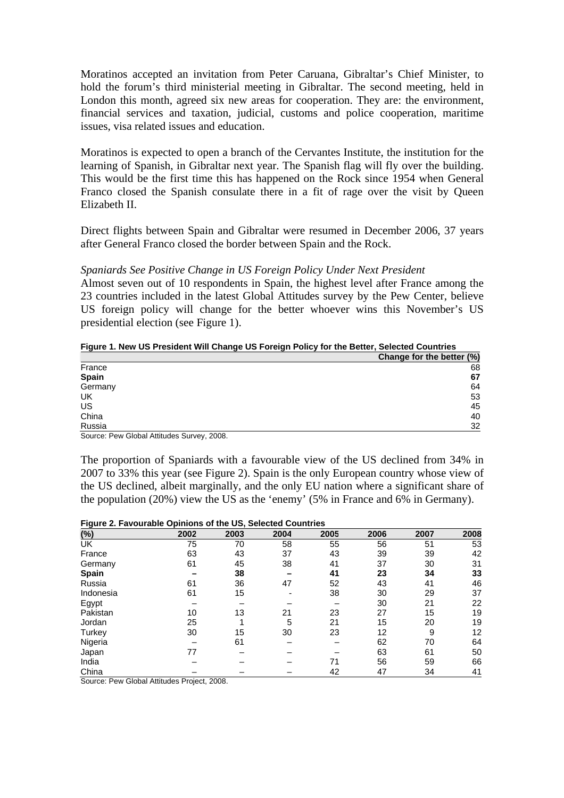Moratinos accepted an invitation from Peter Caruana, Gibraltar's Chief Minister, to hold the forum's third ministerial meeting in Gibraltar. The second meeting, held in London this month, agreed six new areas for cooperation. They are: the environment, financial services and taxation, judicial, customs and police cooperation, maritime issues, visa related issues and education.

Moratinos is expected to open a branch of the Cervantes Institute, the institution for the learning of Spanish, in Gibraltar next year. The Spanish flag will fly over the building. This would be the first time this has happened on the Rock since 1954 when General Franco closed the Spanish consulate there in a fit of rage over the visit by Queen Elizabeth II.

Direct flights between Spain and Gibraltar were resumed in December 2006, 37 years after General Franco closed the border between Spain and the Rock.

### *Spaniards See Positive Change in US Foreign Policy Under Next President*

Almost seven out of 10 respondents in Spain, the highest level after France among the 23 countries included in the latest Global Attitudes survey by the Pew Center, believe US foreign policy will change for the better whoever wins this November's US presidential election (see Figure 1).

#### **Figure 1. New US President Will Change US Foreign Policy for the Better, Selected Countries**

|              | Change for the better (%) |
|--------------|---------------------------|
| France       | 68                        |
| <b>Spain</b> | 67                        |
| Germany      | 64                        |
| UK           | 53                        |
| US           | 45                        |
| China        | 40                        |
| Russia       | 32                        |

Source: Pew Global Attitudes Survey, 2008.

The proportion of Spaniards with a favourable view of the US declined from 34% in 2007 to 33% this year (see Figure 2). Spain is the only European country whose view of the US declined, albeit marginally, and the only EU nation where a significant share of the population (20%) view the US as the 'enemy' (5% in France and 6% in Germany).

#### **Figure 2. Favourable Opinions of the US, Selected Countries**

| (%)       | 2002 | 2003 | 2004 | 2005 | 2006 | 2007 | 2008 |
|-----------|------|------|------|------|------|------|------|
| UK        | 75   | 70   | 58   | 55   | 56   | 51   | 53   |
| France    | 63   | 43   | 37   | 43   | 39   | 39   | 42   |
| Germany   | 61   | 45   | 38   | 41   | 37   | 30   | 31   |
| Spain     |      | 38   |      | 41   | 23   | 34   | 33   |
| Russia    | 61   | 36   | 47   | 52   | 43   | 41   | 46   |
| Indonesia | 61   | 15   |      | 38   | 30   | 29   | 37   |
| Egypt     |      |      |      |      | 30   | 21   | 22   |
| Pakistan  | 10   | 13   | 21   | 23   | 27   | 15   | 19   |
| Jordan    | 25   |      | 5    | 21   | 15   | 20   | 19   |
| Turkey    | 30   | 15   | 30   | 23   | 12   | 9    | 12   |
| Nigeria   |      | 61   |      |      | 62   | 70   | 64   |
| Japan     | 77   |      |      |      | 63   | 61   | 50   |
| India     |      |      |      | 71   | 56   | 59   | 66   |
| China     |      |      |      | 42   | 47   | 34   | 41   |

Source: Pew Global Attitudes Project, 2008.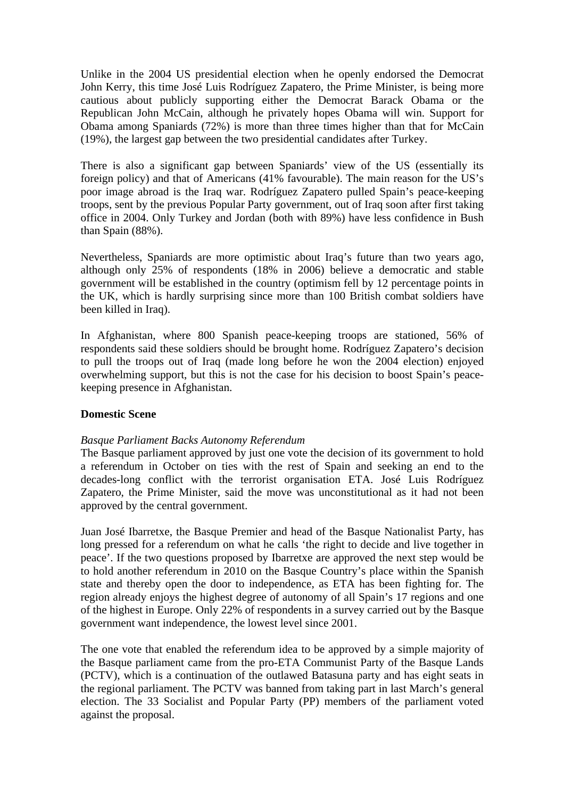Unlike in the 2004 US presidential election when he openly endorsed the Democrat John Kerry, this time José Luis Rodríguez Zapatero, the Prime Minister, is being more cautious about publicly supporting either the Democrat Barack Obama or the Republican John McCain, although he privately hopes Obama will win. Support for Obama among Spaniards (72%) is more than three times higher than that for McCain (19%), the largest gap between the two presidential candidates after Turkey.

There is also a significant gap between Spaniards' view of the US (essentially its foreign policy) and that of Americans (41% favourable). The main reason for the US's poor image abroad is the Iraq war. Rodríguez Zapatero pulled Spain's peace-keeping troops, sent by the previous Popular Party government, out of Iraq soon after first taking office in 2004. Only Turkey and Jordan (both with 89%) have less confidence in Bush than Spain (88%).

Nevertheless, Spaniards are more optimistic about Iraq's future than two years ago, although only 25% of respondents (18% in 2006) believe a democratic and stable government will be established in the country (optimism fell by 12 percentage points in the UK, which is hardly surprising since more than 100 British combat soldiers have been killed in Iraq).

In Afghanistan, where 800 Spanish peace-keeping troops are stationed, 56% of respondents said these soldiers should be brought home. Rodríguez Zapatero's decision to pull the troops out of Iraq (made long before he won the 2004 election) enjoyed overwhelming support, but this is not the case for his decision to boost Spain's peacekeeping presence in Afghanistan.

## **Domestic Scene**

## *Basque Parliament Backs Autonomy Referendum*

The Basque parliament approved by just one vote the decision of its government to hold a referendum in October on ties with the rest of Spain and seeking an end to the decades-long conflict with the terrorist organisation ETA. José Luis Rodríguez Zapatero, the Prime Minister, said the move was unconstitutional as it had not been approved by the central government.

Juan José Ibarretxe, the Basque Premier and head of the Basque Nationalist Party, has long pressed for a referendum on what he calls 'the right to decide and live together in peace'. If the two questions proposed by Ibarretxe are approved the next step would be to hold another referendum in 2010 on the Basque Country's place within the Spanish state and thereby open the door to independence, as ETA has been fighting for. The region already enjoys the highest degree of autonomy of all Spain's 17 regions and one of the highest in Europe. Only 22% of respondents in a survey carried out by the Basque government want independence, the lowest level since 2001.

The one vote that enabled the referendum idea to be approved by a simple majority of the Basque parliament came from the pro-ETA Communist Party of the Basque Lands (PCTV), which is a continuation of the outlawed Batasuna party and has eight seats in the regional parliament. The PCTV was banned from taking part in last March's general election. The 33 Socialist and Popular Party (PP) members of the parliament voted against the proposal.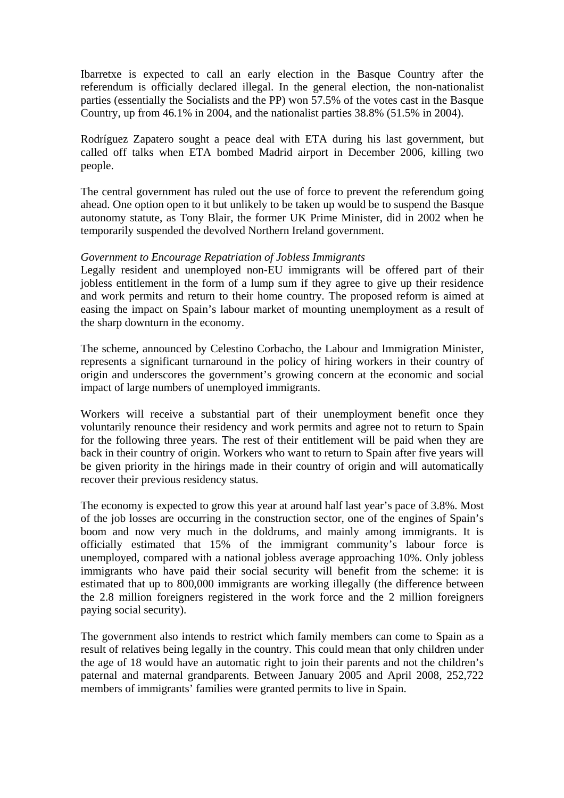Ibarretxe is expected to call an early election in the Basque Country after the referendum is officially declared illegal. In the general election, the non-nationalist parties (essentially the Socialists and the PP) won 57.5% of the votes cast in the Basque Country, up from 46.1% in 2004, and the nationalist parties 38.8% (51.5% in 2004).

Rodríguez Zapatero sought a peace deal with ETA during his last government, but called off talks when ETA bombed Madrid airport in December 2006, killing two people.

The central government has ruled out the use of force to prevent the referendum going ahead. One option open to it but unlikely to be taken up would be to suspend the Basque autonomy statute, as Tony Blair, the former UK Prime Minister, did in 2002 when he temporarily suspended the devolved Northern Ireland government.

# *Government to Encourage Repatriation of Jobless Immigrants*

Legally resident and unemployed non-EU immigrants will be offered part of their jobless entitlement in the form of a lump sum if they agree to give up their residence and work permits and return to their home country. The proposed reform is aimed at easing the impact on Spain's labour market of mounting unemployment as a result of the sharp downturn in the economy.

The scheme, announced by Celestino Corbacho, the Labour and Immigration Minister, represents a significant turnaround in the policy of hiring workers in their country of origin and underscores the government's growing concern at the economic and social impact of large numbers of unemployed immigrants.

Workers will receive a substantial part of their unemployment benefit once they voluntarily renounce their residency and work permits and agree not to return to Spain for the following three years. The rest of their entitlement will be paid when they are back in their country of origin. Workers who want to return to Spain after five years will be given priority in the hirings made in their country of origin and will automatically recover their previous residency status.

The economy is expected to grow this year at around half last year's pace of 3.8%. Most of the job losses are occurring in the construction sector, one of the engines of Spain's boom and now very much in the doldrums, and mainly among immigrants. It is officially estimated that 15% of the immigrant community's labour force is unemployed, compared with a national jobless average approaching 10%. Only jobless immigrants who have paid their social security will benefit from the scheme: it is estimated that up to 800,000 immigrants are working illegally (the difference between the 2.8 million foreigners registered in the work force and the 2 million foreigners paying social security).

The government also intends to restrict which family members can come to Spain as a result of relatives being legally in the country. This could mean that only children under the age of 18 would have an automatic right to join their parents and not the children's paternal and maternal grandparents. Between January 2005 and April 2008, 252,722 members of immigrants' families were granted permits to live in Spain.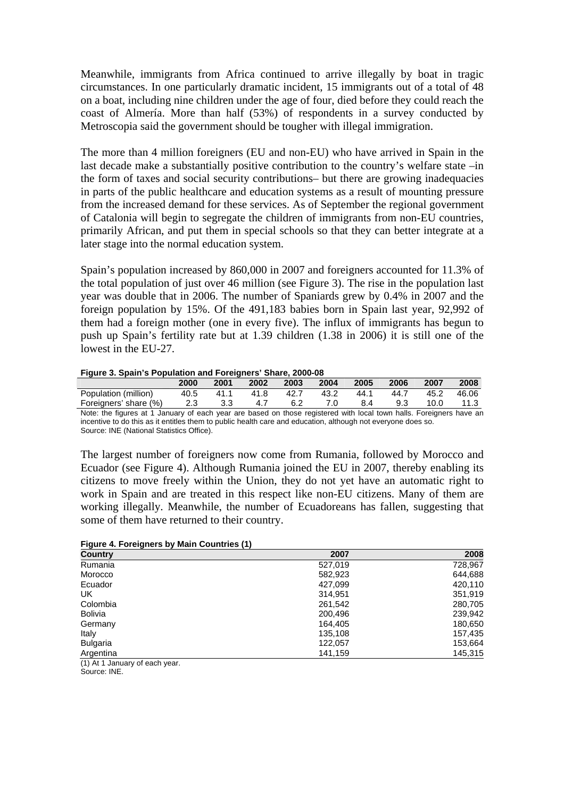Meanwhile, immigrants from Africa continued to arrive illegally by boat in tragic circumstances. In one particularly dramatic incident, 15 immigrants out of a total of 48 on a boat, including nine children under the age of four, died before they could reach the coast of Almería. More than half (53%) of respondents in a survey conducted by Metroscopia said the government should be tougher with illegal immigration.

The more than 4 million foreigners (EU and non-EU) who have arrived in Spain in the last decade make a substantially positive contribution to the country's welfare state –in the form of taxes and social security contributions– but there are growing inadequacies in parts of the public healthcare and education systems as a result of mounting pressure from the increased demand for these services. As of September the regional government of Catalonia will begin to segregate the children of immigrants from non-EU countries, primarily African, and put them in special schools so that they can better integrate at a later stage into the normal education system.

Spain's population increased by 860,000 in 2007 and foreigners accounted for 11.3% of the total population of just over 46 million (see Figure 3). The rise in the population last year was double that in 2006. The number of Spaniards grew by 0.4% in 2007 and the foreign population by 15%. Of the 491,183 babies born in Spain last year, 92,992 of them had a foreign mother (one in every five). The influx of immigrants has begun to push up Spain's fertility rate but at 1.39 children (1.38 in 2006) it is still one of the lowest in the EU-27.

|  | Figure 3. Spain's Population and Foreigners' Share, 2000-08 |  |
|--|-------------------------------------------------------------|--|
|--|-------------------------------------------------------------|--|

| <b>1 iguit 0. Opain 3 i Opaiation and i Ortightis Onart, 2000 00</b> |      |      |                    |      |      |       |      |            |        |
|----------------------------------------------------------------------|------|------|--------------------|------|------|-------|------|------------|--------|
|                                                                      | 2000 | 2001 | $\sim$ 2002 $\sim$ | 2003 | 2004 | 2005  | 2006 | 2007       | 2008   |
| Population (million)                                                 | 40.5 |      | 41.1 41.8 42.7     |      | 43.2 | 44.1  | 44.7 | 45.2 46.06 |        |
| Foreigners' share (%)                                                | 2.3  | 3.3  | 4.7                | 6.2  | 7.0  | - 8.4 | 9.3  | 10.0       | - 11.3 |
|                                                                      |      |      |                    |      |      |       |      |            |        |

Note: the figures at 1 January of each year are based on those registered with local town halls. Foreigners have an incentive to do this as it entitles them to public health care and education, although not everyone does so. Source: INE (National Statistics Office).

The largest number of foreigners now come from Rumania, followed by Morocco and Ecuador (see Figure 4). Although Rumania joined the EU in 2007, thereby enabling its citizens to move freely within the Union, they do not yet have an automatic right to work in Spain and are treated in this respect like non-EU citizens. Many of them are working illegally. Meanwhile, the number of Ecuadoreans has fallen, suggesting that some of them have returned to their country.

| Figure 4. Foreigners by Main Countries (1) |  |  |  |
|--------------------------------------------|--|--|--|
|--------------------------------------------|--|--|--|

| <b>Country</b>  | 2007    | 2008    |
|-----------------|---------|---------|
| Rumania         | 527,019 | 728,967 |
| Morocco         | 582,923 | 644,688 |
| Ecuador         | 427.099 | 420,110 |
| UK              | 314,951 | 351,919 |
| Colombia        | 261,542 | 280,705 |
| Bolivia         | 200,496 | 239,942 |
| Germany         | 164,405 | 180,650 |
| Italy           | 135,108 | 157,435 |
| <b>Bulgaria</b> | 122,057 | 153,664 |
| Argentina       | 141,159 | 145,315 |

(1) At 1 January of each year. Source: INE.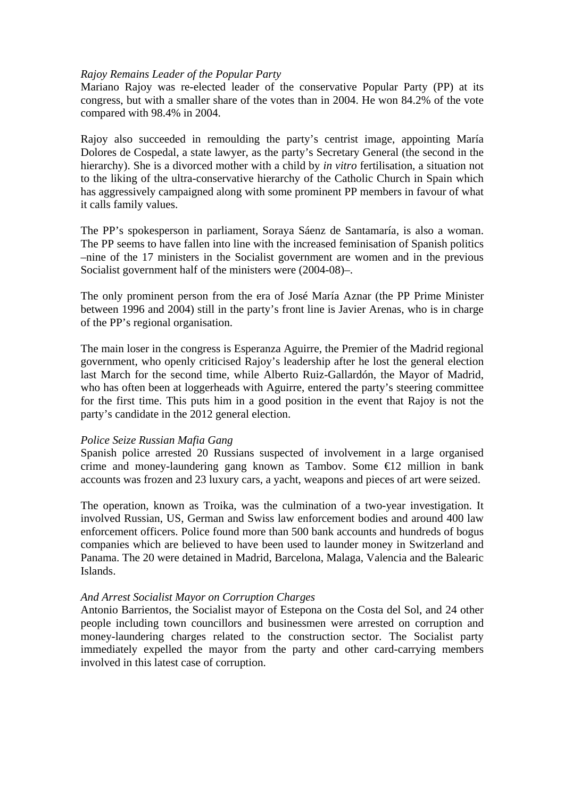#### *Rajoy Remains Leader of the Popular Party*

Mariano Rajoy was re-elected leader of the conservative Popular Party (PP) at its congress, but with a smaller share of the votes than in 2004. He won 84.2% of the vote compared with 98.4% in 2004.

Rajoy also succeeded in remoulding the party's centrist image, appointing María Dolores de Cospedal, a state lawyer, as the party's Secretary General (the second in the hierarchy). She is a divorced mother with a child by *in vitro* fertilisation, a situation not to the liking of the ultra-conservative hierarchy of the Catholic Church in Spain which has aggressively campaigned along with some prominent PP members in favour of what it calls family values.

The PP's spokesperson in parliament, Soraya Sáenz de Santamaría, is also a woman. The PP seems to have fallen into line with the increased feminisation of Spanish politics –nine of the 17 ministers in the Socialist government are women and in the previous Socialist government half of the ministers were (2004-08)–.

The only prominent person from the era of José María Aznar (the PP Prime Minister between 1996 and 2004) still in the party's front line is Javier Arenas, who is in charge of the PP's regional organisation.

The main loser in the congress is Esperanza Aguirre, the Premier of the Madrid regional government, who openly criticised Rajoy's leadership after he lost the general election last March for the second time, while Alberto Ruiz-Gallardón, the Mayor of Madrid, who has often been at loggerheads with Aguirre, entered the party's steering committee for the first time. This puts him in a good position in the event that Rajoy is not the party's candidate in the 2012 general election.

#### *Police Seize Russian Mafia Gang*

Spanish police arrested 20 Russians suspected of involvement in a large organised crime and money-laundering gang known as Tambov. Some  $\epsilon$  equals 2 million in bank accounts was frozen and 23 luxury cars, a yacht, weapons and pieces of art were seized.

The operation, known as Troika, was the culmination of a two-year investigation. It involved Russian, US, German and Swiss law enforcement bodies and around 400 law enforcement officers. Police found more than 500 bank accounts and hundreds of bogus companies which are believed to have been used to launder money in Switzerland and Panama. The 20 were detained in Madrid, Barcelona, Malaga, Valencia and the Balearic Islands.

## *And Arrest Socialist Mayor on Corruption Charges*

Antonio Barrientos, the Socialist mayor of Estepona on the Costa del Sol, and 24 other people including town councillors and businessmen were arrested on corruption and money-laundering charges related to the construction sector. The Socialist party immediately expelled the mayor from the party and other card-carrying members involved in this latest case of corruption.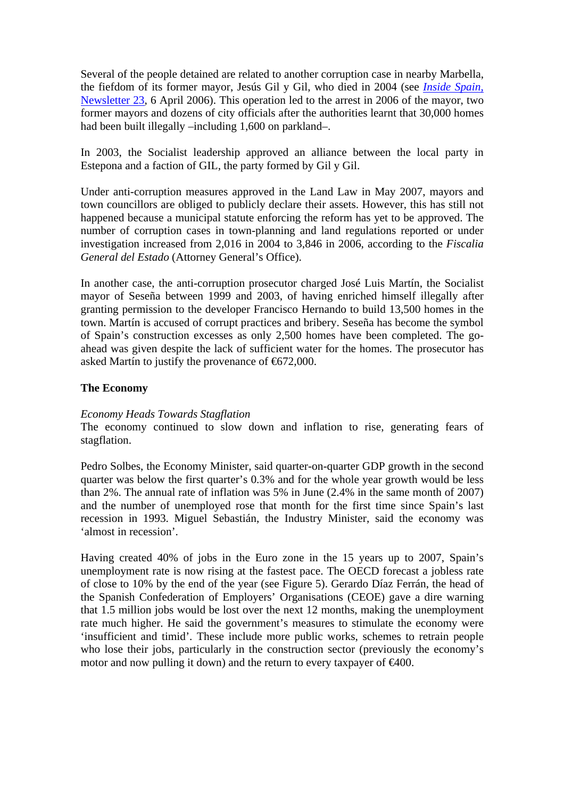Several of the people detained are related to another corruption case in nearby Marbella, the fiefdom of its former mayor, Jesús Gil y Gil, who died in 2004 (see *Inside Spain*, Newsletter 23, 6 April 2006). This operation led to the arrest in 2006 of the mayor, two former mayors and dozens of city officials after the authorities learnt that 30,000 homes had been built illegally –including 1,600 on parkland–.

In 2003, the Socialist leadership approved an alliance between the local party in Estepona and a faction of GIL, the party formed by Gil y Gil.

Under anti-corruption measures approved in the Land Law in May 2007, mayors and town councillors are obliged to publicly declare their assets. However, this has still not happened because a municipal statute enforcing the reform has yet to be approved. The number of corruption cases in town-planning and land regulations reported or under investigation increased from 2,016 in 2004 to 3,846 in 2006, according to the *Fiscalia General del Estado* (Attorney General's Office).

In another case, the anti-corruption prosecutor charged José Luis Martín, the Socialist mayor of Seseña between 1999 and 2003, of having enriched himself illegally after granting permission to the developer Francisco Hernando to build 13,500 homes in the town. Martín is accused of corrupt practices and bribery. Seseña has become the symbol of Spain's construction excesses as only 2,500 homes have been completed. The goahead was given despite the lack of sufficient water for the homes. The prosecutor has asked Martín to justify the provenance of  $\epsilon$ 672,000.

# **The Economy**

# *Economy Heads Towards Stagflation*

The economy continued to slow down and inflation to rise, generating fears of stagflation.

Pedro Solbes, the Economy Minister, said quarter-on-quarter GDP growth in the second quarter was below the first quarter's 0.3% and for the whole year growth would be less than 2%. The annual rate of inflation was 5% in June (2.4% in the same month of 2007) and the number of unemployed rose that month for the first time since Spain's last recession in 1993. Miguel Sebastián, the Industry Minister, said the economy was 'almost in recession'.

Having created 40% of jobs in the Euro zone in the 15 years up to 2007, Spain's unemployment rate is now rising at the fastest pace. The OECD forecast a jobless rate of close to 10% by the end of the year (see Figure 5). Gerardo Díaz Ferrán, the head of the Spanish Confederation of Employers' Organisations (CEOE) gave a dire warning that 1.5 million jobs would be lost over the next 12 months, making the unemployment rate much higher. He said the government's measures to stimulate the economy were 'insufficient and timid'. These include more public works, schemes to retrain people who lose their jobs, particularly in the construction sector (previously the economy's motor and now pulling it down) and the return to every taxpayer of  $\epsilon 400$ .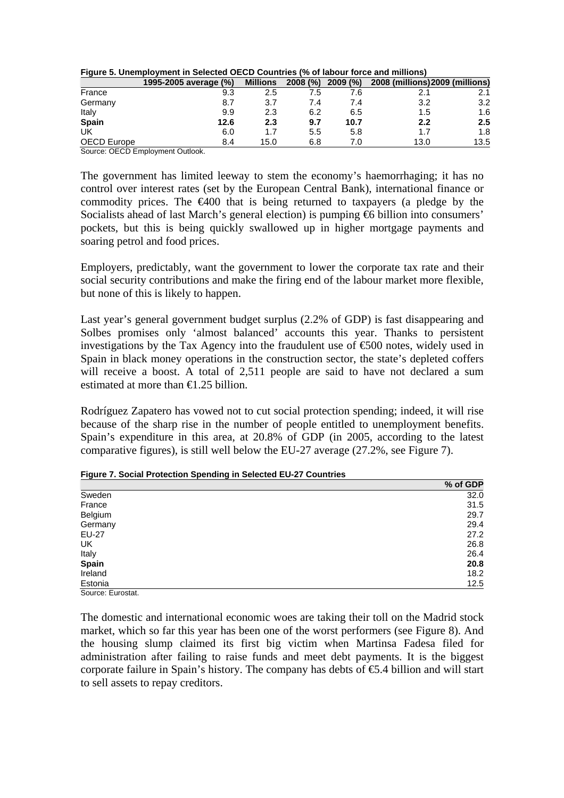| Figure 5. Unemployment in Selected OECD Countries (% of labour force and millions) |  |
|------------------------------------------------------------------------------------|--|
|------------------------------------------------------------------------------------|--|

|             | 1995-2005 average (%) | <b>Millions</b> | 2008 (%) | 2009 (%) | 2008 (millions) 2009 (millions) |                  |
|-------------|-----------------------|-----------------|----------|----------|---------------------------------|------------------|
| France      | 9.3                   | 2.5             | 7.5      | 7.6      |                                 | 2.1              |
| Germany     | 8.7                   | 3.7             | 7.4      | 7.4      | 3.2                             | 3.2              |
| Italy       | 9.9                   | 2.3             | 6.2      | 6.5      | 1.5                             | 1.6              |
| Spain       | 12.6                  | 2.3             | 9.7      | 10.7     | 2.2                             | $2.5\phantom{0}$ |
| UK          | 6.0                   | 1.7             | 5.5      | 5.8      | 1.7                             | 1.8              |
| OECD Europe | 8.4                   | 15.0            | 6.8      | 7.0      | 13.0                            | 13.5             |

Source: OECD Employment Outlook.

The government has limited leeway to stem the economy's haemorrhaging; it has no control over interest rates (set by the European Central Bank), international finance or commodity prices. The  $\epsilon 400$  that is being returned to taxpayers (a pledge by the Socialists ahead of last March's general election) is pumping €6 billion into consumers' pockets, but this is being quickly swallowed up in higher mortgage payments and soaring petrol and food prices.

Employers, predictably, want the government to lower the corporate tax rate and their social security contributions and make the firing end of the labour market more flexible, but none of this is likely to happen.

Last year's general government budget surplus (2.2% of GDP) is fast disappearing and Solbes promises only 'almost balanced' accounts this year. Thanks to persistent investigations by the Tax Agency into the fraudulent use of  $\epsilon$ 600 notes, widely used in Spain in black money operations in the construction sector, the state's depleted coffers will receive a boost. A total of 2,511 people are said to have not declared a sum estimated at more than  $\in$  2.25 billion.

Rodríguez Zapatero has vowed not to cut social protection spending; indeed, it will rise because of the sharp rise in the number of people entitled to unemployment benefits. Spain's expenditure in this area, at 20.8% of GDP (in 2005, according to the latest comparative figures), is still well below the EU-27 average (27.2%, see Figure 7).

|                   | % of GDP |
|-------------------|----------|
| Sweden            | 32.0     |
| France            | 31.5     |
| Belgium           | 29.7     |
| Germany           | 29.4     |
| EU-27             | 27.2     |
| UK                | 26.8     |
| Italy             | 26.4     |
| <b>Spain</b>      | 20.8     |
| Ireland           | 18.2     |
| Estonia           | 12.5     |
| Source: Eurostat. |          |

**Figure 7. Social Protection Spending in Selected EU-27 Countries** 

The domestic and international economic woes are taking their toll on the Madrid stock market, which so far this year has been one of the worst performers (see Figure 8). And the housing slump claimed its first big victim when Martinsa Fadesa filed for administration after failing to raise funds and meet debt payments. It is the biggest corporate failure in Spain's history. The company has debts of  $\epsilon$ 5.4 billion and will start to sell assets to repay creditors.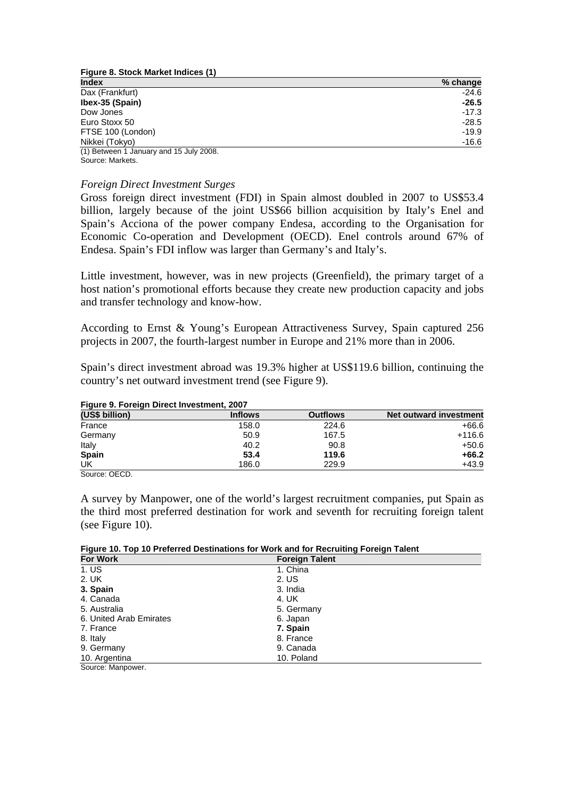**Figure 8. Stock Market Indices (1) Index** % change Dax (Frankfurt) -24.6 **Ibex-35 (Spain)** Dow Jones -17.3 Euro Stoxx 50 -28.5 FTSE  $100$  (London)  $-19.9$ Nikkei (Tokyo) -16.6 (1) Between 1 January and 15 July 2008.

Source: Markets.

#### *Foreign Direct Investment Surges*

Gross foreign direct investment (FDI) in Spain almost doubled in 2007 to US\$53.4 billion, largely because of the joint US\$66 billion acquisition by Italy's Enel and Spain's Acciona of the power company Endesa, according to the Organisation for Economic Co-operation and Development (OECD). Enel controls around 67% of Endesa. Spain's FDI inflow was larger than Germany's and Italy's.

Little investment, however, was in new projects (Greenfield), the primary target of a host nation's promotional efforts because they create new production capacity and jobs and transfer technology and know-how.

According to Ernst & Young's European Attractiveness Survey, Spain captured 256 projects in 2007, the fourth-largest number in Europe and 21% more than in 2006.

Spain's direct investment abroad was 19.3% higher at US\$119.6 billion, continuing the country's net outward investment trend (see Figure 9).

| Figure 9. Foreign Direct Investment, 2007 |                |                 |                        |  |
|-------------------------------------------|----------------|-----------------|------------------------|--|
| (US\$ billion)                            | <b>Inflows</b> | <b>Outflows</b> | Net outward investment |  |
| France                                    | 158.0          | 224.6           | $+66.6$                |  |
| Germany                                   | 50.9           | 167.5           | $+116.6$               |  |
| Italy                                     | 40.2           | 90.8            | $+50.6$                |  |
| Spain                                     | 53.4           | 119.6           | $+66.2$                |  |
| UK                                        | 186.0          | 229.9           | $+43.9$                |  |
| Source: OECD                              |                |                 |                        |  |

### **Figure 9. Foreign Direct Investment, 2007**

A survey by Manpower, one of the world's largest recruitment companies, put Spain as the third most preferred destination for work and seventh for recruiting foreign talent (see Figure 10).

**Figure 10. Top 10 Preferred Destinations for Work and for Recruiting Foreign Talent** 

| <b>For Work</b>         | <b>Foreign Talent</b> |  |
|-------------------------|-----------------------|--|
| 1. US                   | 1. China              |  |
| 2. UK                   | 2. US                 |  |
| 3. Spain                | 3. India              |  |
| 4. Canada               | 4. UK                 |  |
| 5. Australia            | 5. Germany            |  |
| 6. United Arab Emirates | 6. Japan              |  |
| 7. France               | 7. Spain              |  |
| 8. Italy                | 8. France             |  |
| 9. Germany              | 9. Canada             |  |
| 10. Argentina           | 10. Poland            |  |

Source: Manpower.